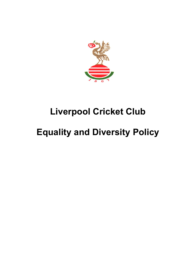

## **Liverpool Cricket Club**

## **Equality and Diversity Policy**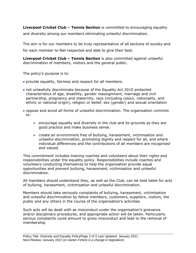**Liverpool Cricket Club – Tennis Section** is committed to encouraging equality and diversity among our members eliminating unlawful discrimination.

The aim is for our members to be truly representative of all sections of society and for each member to feel respected and able to give their best.

**Liverpool Cricket Club – Tennis Section** is also committed against unlawful discrimination of members, visitors and the general public.

The policy's purpose is to:

- provide equality, fairness and respect for all members.
- not unlawfully discriminate because of the Equality Act 2010 protected characteristics of age, disability, gender reassignment, marriage and civil partnership, pregnancy and maternity, race (including colour, nationality, and ethnic or national origin), religion or belief, sex (gender) and sexual orientation
- oppose and avoid all forms of unlawful discrimination. The organisation commits to:
	- $\triangleright$  encourage equality and diversity in the club and its grounds as they are good practice and make business sense.
	- $\triangleright$  create an environment free of bullying, harassment, victimisation and unlawful discrimination, promoting dignity and respect for all, and where individual differences and the contributions of all members are recognised and valued

This commitment includes training coaches and volunteers about their rights and responsibilities under the equality policy. Responsibilities include coaches and volunteers conducting themselves to help the organisation provide equal opportunities and prevent bullying, harassment, victimisation and unlawful discrimination.

All members should understand they, as well as the Club, can be held liable for acts of bullying, harassment, victimisation and unlawful discrimination.

Members should take seriously complaints of bullying, harassment, victimisation and unlawful discrimination by fellow members, customers, suppliers, visitors, the public and any others in the course of the organisation's activities

Such acts will be dealt with as misconduct under the organisation's grievance and/or disciplinary procedures, and appropriate action will be taken. Particularly serious complaints could amount to gross misconduct and lead to the removal of membership.